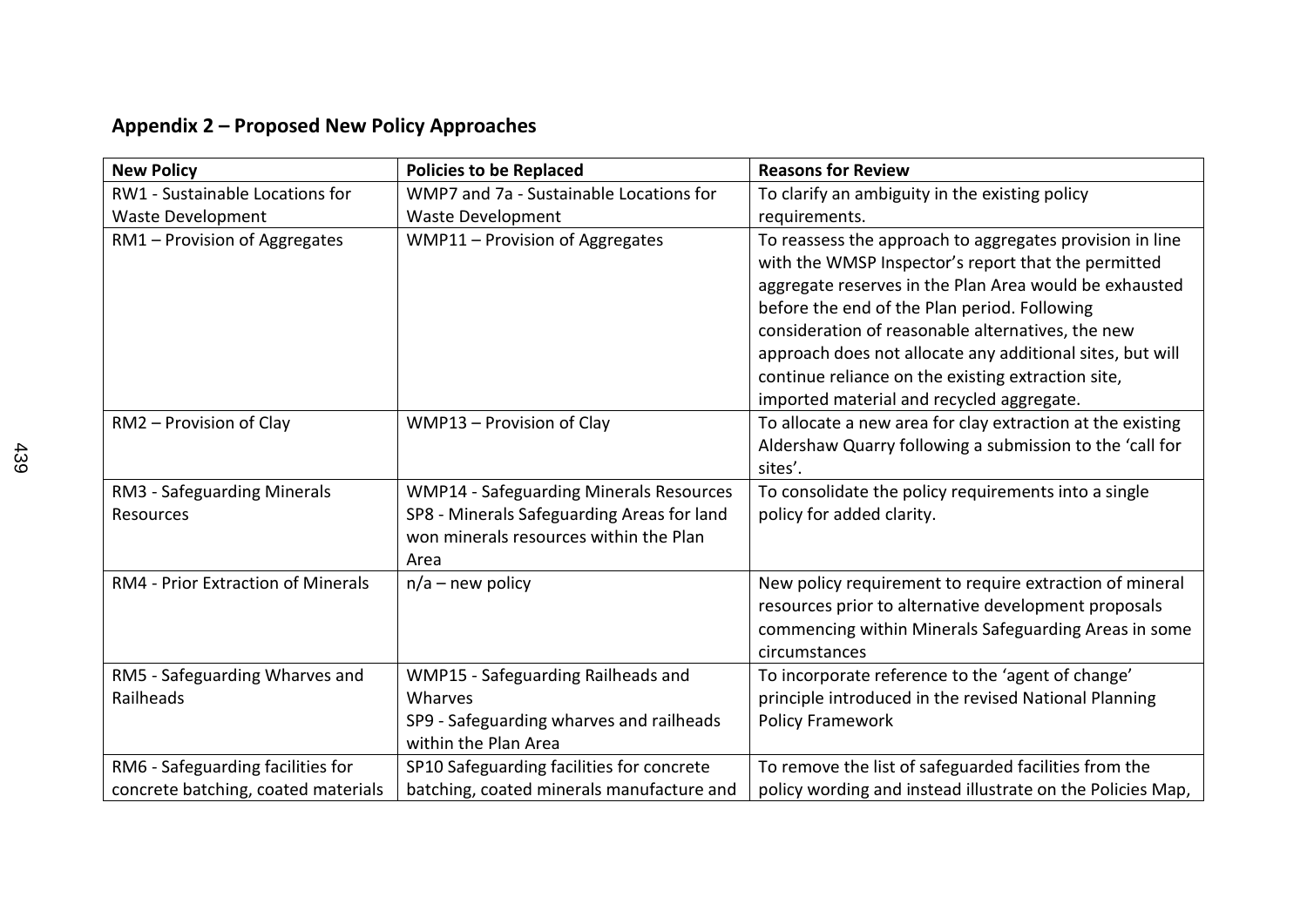## **Appendix 2 – Proposed New Policy Approaches**

| <b>New Policy</b>                   | <b>Policies to be Replaced</b>                                                               | <b>Reasons for Review</b>                                                                                                                                                                                                                                                                                                                                                                                                                      |
|-------------------------------------|----------------------------------------------------------------------------------------------|------------------------------------------------------------------------------------------------------------------------------------------------------------------------------------------------------------------------------------------------------------------------------------------------------------------------------------------------------------------------------------------------------------------------------------------------|
| RW1 - Sustainable Locations for     | WMP7 and 7a - Sustainable Locations for                                                      | To clarify an ambiguity in the existing policy                                                                                                                                                                                                                                                                                                                                                                                                 |
| <b>Waste Development</b>            | <b>Waste Development</b>                                                                     | requirements.                                                                                                                                                                                                                                                                                                                                                                                                                                  |
| RM1 - Provision of Aggregates       | WMP11 - Provision of Aggregates                                                              | To reassess the approach to aggregates provision in line<br>with the WMSP Inspector's report that the permitted<br>aggregate reserves in the Plan Area would be exhausted<br>before the end of the Plan period. Following<br>consideration of reasonable alternatives, the new<br>approach does not allocate any additional sites, but will<br>continue reliance on the existing extraction site,<br>imported material and recycled aggregate. |
| RM2 - Provision of Clay             | WMP13 - Provision of Clay                                                                    | To allocate a new area for clay extraction at the existing<br>Aldershaw Quarry following a submission to the 'call for<br>sites'.                                                                                                                                                                                                                                                                                                              |
| RM3 - Safeguarding Minerals         | <b>WMP14 - Safeguarding Minerals Resources</b>                                               | To consolidate the policy requirements into a single                                                                                                                                                                                                                                                                                                                                                                                           |
| Resources                           | SP8 - Minerals Safeguarding Areas for land<br>won minerals resources within the Plan<br>Area | policy for added clarity.                                                                                                                                                                                                                                                                                                                                                                                                                      |
| RM4 - Prior Extraction of Minerals  | $n/a$ – new policy                                                                           | New policy requirement to require extraction of mineral<br>resources prior to alternative development proposals<br>commencing within Minerals Safeguarding Areas in some<br>circumstances                                                                                                                                                                                                                                                      |
| RM5 - Safeguarding Wharves and      | WMP15 - Safeguarding Railheads and                                                           | To incorporate reference to the 'agent of change'                                                                                                                                                                                                                                                                                                                                                                                              |
| Railheads                           | Wharves                                                                                      | principle introduced in the revised National Planning                                                                                                                                                                                                                                                                                                                                                                                          |
|                                     | SP9 - Safeguarding wharves and railheads<br>within the Plan Area                             | <b>Policy Framework</b>                                                                                                                                                                                                                                                                                                                                                                                                                        |
| RM6 - Safeguarding facilities for   | SP10 Safeguarding facilities for concrete                                                    | To remove the list of safeguarded facilities from the                                                                                                                                                                                                                                                                                                                                                                                          |
| concrete batching, coated materials | batching, coated minerals manufacture and                                                    | policy wording and instead illustrate on the Policies Map,                                                                                                                                                                                                                                                                                                                                                                                     |